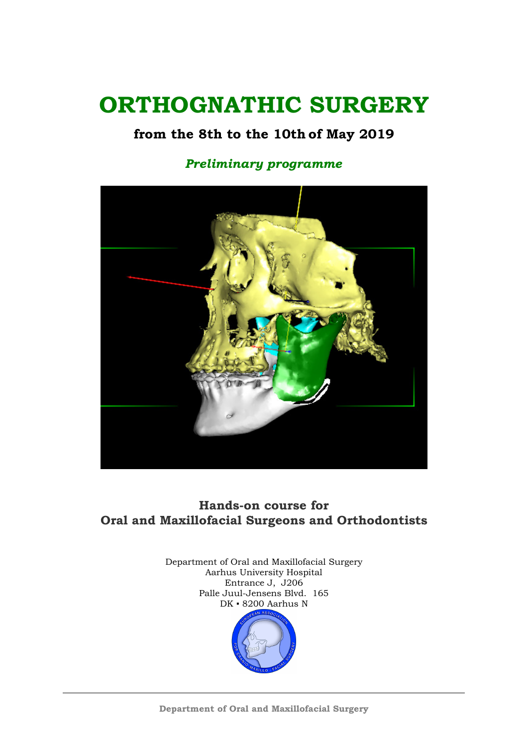## **ORTHOGNATHIC SURGERY**

## **from the 8th to the 10th of May 2019**

### *Preliminary programme*



## **Hands-on course for Oral and Maxillofacial Surgeons and Orthodontists**

Department of Oral and Maxillofacial Surgery Aarhus University Hospital Entrance J, J206 Palle Juul-Jensens Blvd. 165 DK ▪ 8200 Aarhus N

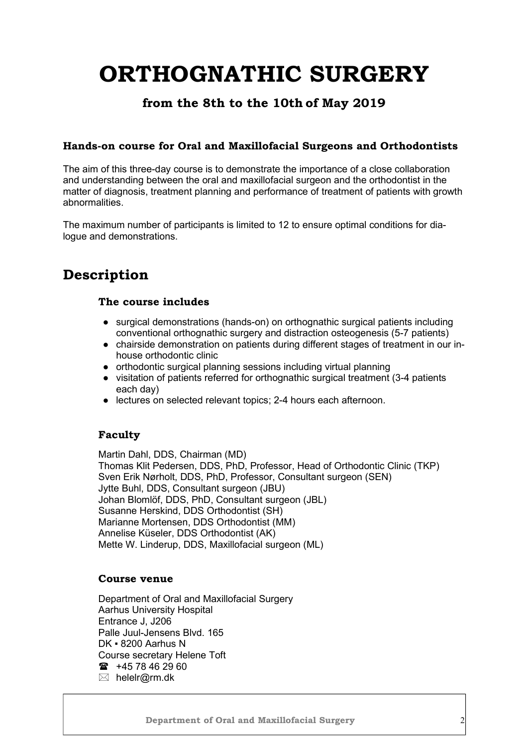# **ORTHOGNATHIC SURGERY**

### **from the 8th to the 10th of May 2019**

#### **Hands-on course for Oral and Maxillofacial Surgeons and Orthodontists**

The aim of this three-day course is to demonstrate the importance of a close collaboration and understanding between the oral and maxillofacial surgeon and the orthodontist in the matter of diagnosis, treatment planning and performance of treatment of patients with growth abnormalities.

The maximum number of participants is limited to 12 to ensure optimal conditions for dialogue and demonstrations.

## **Description**

#### **The course includes**

- surgical demonstrations (hands-on) on orthognathic surgical patients including conventional orthognathic surgery and distraction osteogenesis (5-7 patients)
- chairside demonstration on patients during different stages of treatment in our inhouse orthodontic clinic
- orthodontic surgical planning sessions including virtual planning
- visitation of patients referred for orthognathic surgical treatment (3-4 patients each day)
- lectures on selected relevant topics; 2-4 hours each afternoon.

#### **Faculty**

Martin Dahl, DDS, Chairman (MD) Thomas Klit Pedersen, DDS, PhD, Professor, Head of Orthodontic Clinic (TKP) Sven Erik Nørholt, DDS, PhD, Professor, Consultant surgeon (SEN) Jytte Buhl, DDS, Consultant surgeon (JBU) Johan Blomlöf, DDS, PhD, Consultant surgeon (JBL) Susanne Herskind, DDS Orthodontist (SH) Marianne Mortensen, DDS Orthodontist (MM) Annelise Küseler, DDS Orthodontist (AK) Mette W. Linderup, DDS, Maxillofacial surgeon (ML)

#### **Course venue**

Department of Oral and Maxillofacial Surgery Aarhus University Hospital Entrance J, J206 Palle Juul-Jensens Blvd. 165 DK ▪ 8200 Aarhus N Course secretary Helene Toft  $\text{m}$  +45 78 46 29 60 ⊠ helelr@rm.dk

 **Department of Oral and Maxillofacial Surgery** 2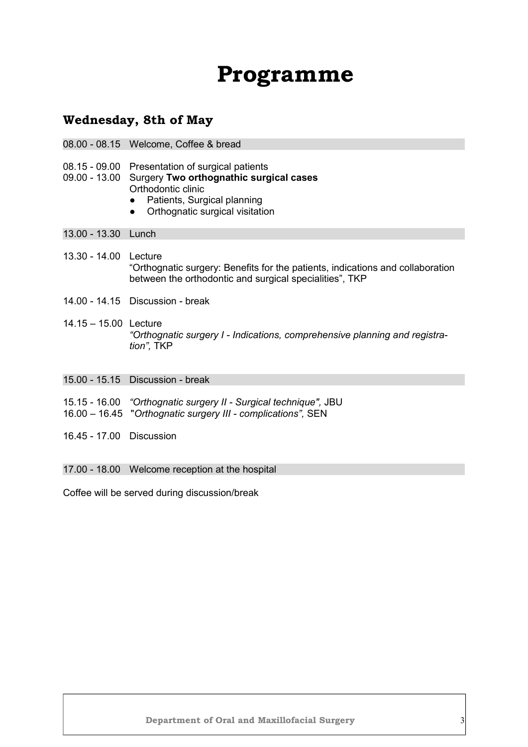## **Programme**

#### **Wednesday, 8th of May**

- 08.00 08.15 Welcome, Coffee & bread
- 08.15 09.00 Presentation of surgical patients
- 09.00 13.00 Surgery **Two orthognathic surgical cases** Orthodontic clinic
	- Patients, Surgical planning
	- Orthognatic surgical visitation

13.00 - 13.30 Lunch

- 13.30 14.00 Lecture "Orthognatic surgery: Benefits for the patients, indications and collaboration between the orthodontic and surgical specialities", TKP
- 14.00 14.15 Discussion break
- 14.15 15.00 Lecture *"Orthognatic surgery I - Indications, comprehensive planning and registration",* TKP
- 15.00 15.15 Discussion break
- 15.15 16.00 *"Orthognatic surgery II Surgical technique",* JBU
- 16.00 16.45 "*Orthognatic surgery III complications",* SEN
- 16.45 17.00 Discussion
- 17.00 18.00 Welcome reception at the hospital

Coffee will be served during discussion/break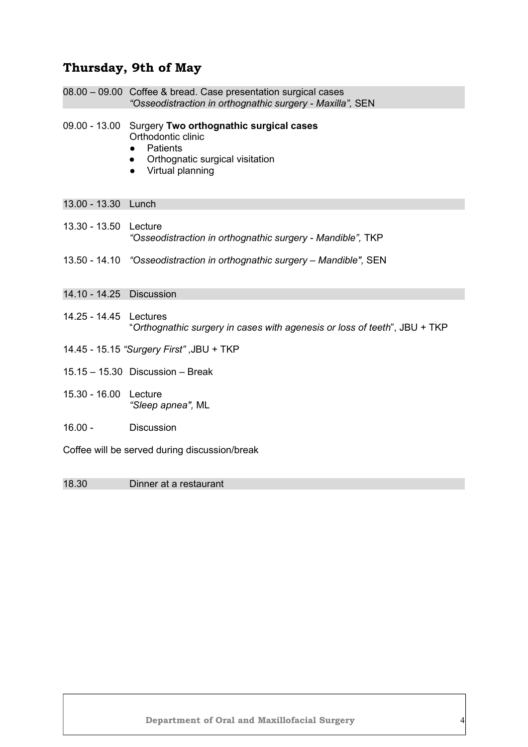## **Thursday, 9th of May**

|                                               | 08.00 - 09.00 Coffee & bread. Case presentation surgical cases<br>"Osseodistraction in orthognathic surgery - Maxilla", SEN                                        |  |
|-----------------------------------------------|--------------------------------------------------------------------------------------------------------------------------------------------------------------------|--|
|                                               | 09.00 - 13.00 Surgery Two orthognathic surgical cases<br>Orthodontic clinic<br><b>Patients</b><br>Orthognatic surgical visitation<br>Virtual planning<br>$\bullet$ |  |
| 13.00 - 13.30 Lunch                           |                                                                                                                                                                    |  |
| $13.30 - 13.50$                               | Lecture<br>"Osseodistraction in orthognathic surgery - Mandible", TKP                                                                                              |  |
|                                               | 13.50 - 14.10 "Osseodistraction in orthognathic surgery - Mandible", SEN                                                                                           |  |
| 14.10 - 14.25 Discussion                      |                                                                                                                                                                    |  |
| 14.25 - 14.45 Lectures                        | "Orthognathic surgery in cases with agenesis or loss of teeth", JBU + TKP                                                                                          |  |
| 14.45 - 15.15 "Surgery First", JBU + TKP      |                                                                                                                                                                    |  |
|                                               | $15.15 - 15.30$ Discussion - Break                                                                                                                                 |  |
| 15.30 - 16.00 Lecture                         | "Sleep apnea", ML                                                                                                                                                  |  |
| $16.00 -$                                     | Discussion                                                                                                                                                         |  |
| Coffee will be served during discussion/break |                                                                                                                                                                    |  |

18.30 Dinner at a restaurant